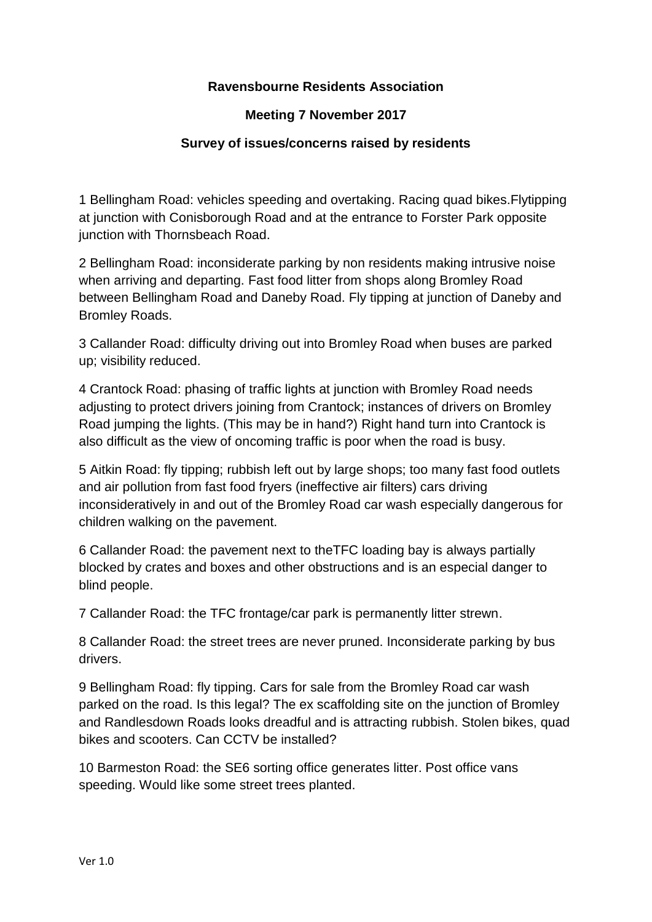## **Ravensbourne Residents Association**

## **Meeting 7 November 2017**

## **Survey of issues/concerns raised by residents**

1 Bellingham Road: vehicles speeding and overtaking. Racing quad bikes.Flytipping at junction with Conisborough Road and at the entrance to Forster Park opposite junction with Thornsbeach Road.

2 Bellingham Road: inconsiderate parking by non residents making intrusive noise when arriving and departing. Fast food litter from shops along Bromley Road between Bellingham Road and Daneby Road. Fly tipping at junction of Daneby and Bromley Roads.

3 Callander Road: difficulty driving out into Bromley Road when buses are parked up; visibility reduced.

4 Crantock Road: phasing of traffic lights at junction with Bromley Road needs adjusting to protect drivers joining from Crantock; instances of drivers on Bromley Road jumping the lights. (This may be in hand?) Right hand turn into Crantock is also difficult as the view of oncoming traffic is poor when the road is busy.

5 Aitkin Road: fly tipping; rubbish left out by large shops; too many fast food outlets and air pollution from fast food fryers (ineffective air filters) cars driving inconsideratively in and out of the Bromley Road car wash especially dangerous for children walking on the pavement.

6 Callander Road: the pavement next to theTFC loading bay is always partially blocked by crates and boxes and other obstructions and is an especial danger to blind people.

7 Callander Road: the TFC frontage/car park is permanently litter strewn.

8 Callander Road: the street trees are never pruned. Inconsiderate parking by bus drivers.

9 Bellingham Road: fly tipping. Cars for sale from the Bromley Road car wash parked on the road. Is this legal? The ex scaffolding site on the junction of Bromley and Randlesdown Roads looks dreadful and is attracting rubbish. Stolen bikes, quad bikes and scooters. Can CCTV be installed?

10 Barmeston Road: the SE6 sorting office generates litter. Post office vans speeding. Would like some street trees planted.